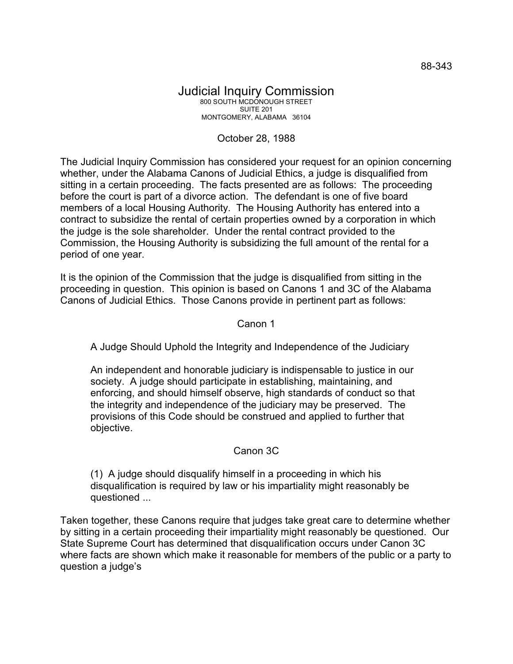## Judicial Inquiry Commission 800 SOUTH MCDONOUGH STREET SUITE 201 MONTGOMERY, ALABAMA 36104

## October 28, 1988

The Judicial Inquiry Commission has considered your request for an opinion concerning whether, under the Alabama Canons of Judicial Ethics, a judge is disqualified from sitting in a certain proceeding. The facts presented are as follows: The proceeding before the court is part of a divorce action. The defendant is one of five board members of a local Housing Authority. The Housing Authority has entered into a contract to subsidize the rental of certain properties owned by a corporation in which the judge is the sole shareholder. Under the rental contract provided to the Commission, the Housing Authority is subsidizing the full amount of the rental for a period of one year.

It is the opinion of the Commission that the judge is disqualified from sitting in the proceeding in question. This opinion is based on Canons 1 and 3C of the Alabama Canons of Judicial Ethics. Those Canons provide in pertinent part as follows:

## Canon 1

A Judge Should Uphold the Integrity and Independence of the Judiciary

An independent and honorable judiciary is indispensable to justice in our society. A judge should participate in establishing, maintaining, and enforcing, and should himself observe, high standards of conduct so that the integrity and independence of the judiciary may be preserved. The provisions of this Code should be construed and applied to further that objective.

## Canon 3C

(1) A judge should disqualify himself in a proceeding in which his disqualification is required by law or his impartiality might reasonably be questioned ...

Taken together, these Canons require that judges take great care to determine whether by sitting in a certain proceeding their impartiality might reasonably be questioned. Our State Supreme Court has determined that disqualification occurs under Canon 3C where facts are shown which make it reasonable for members of the public or a party to question a judge's